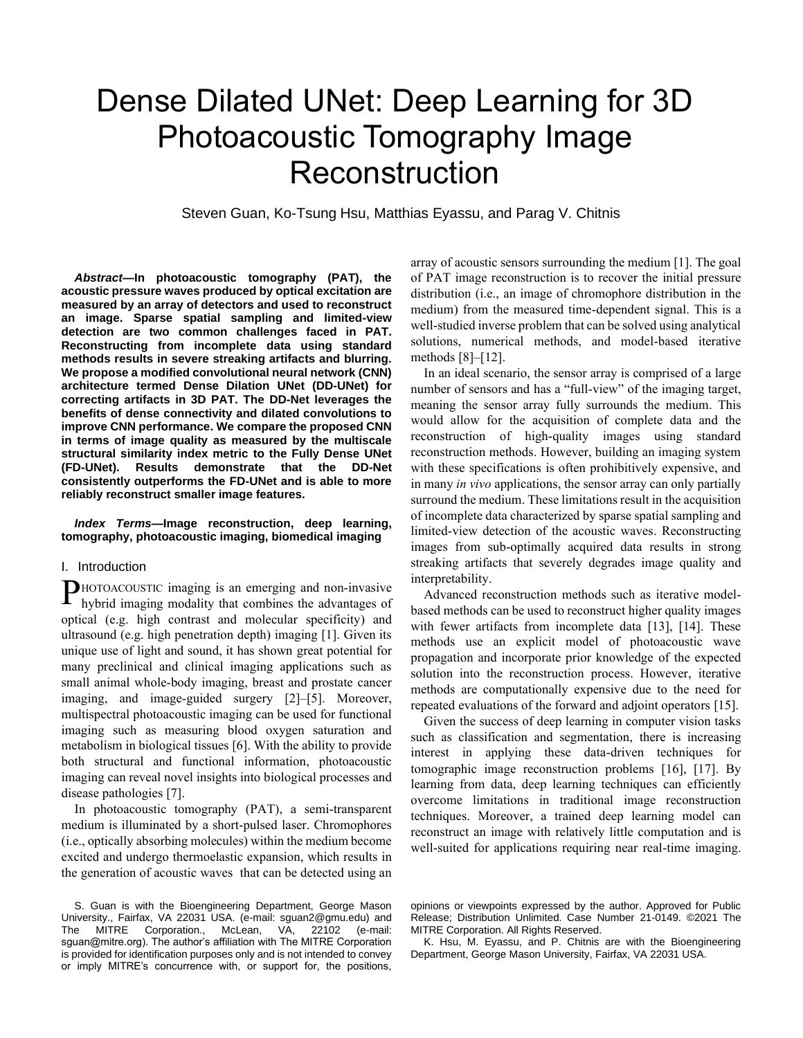# Dense Dilated UNet: Deep Learning for 3D Photoacoustic Tomography Image **Reconstruction**

Steven Guan, Ko-Tsung Hsu, Matthias Eyassu, and Parag V. Chitnis

*Abstract***—In photoacoustic tomography (PAT), the acoustic pressure waves produced by optical excitation are measured by an array of detectors and used to reconstruct an image. Sparse spatial sampling and limited-view detection are two common challenges faced in PAT. Reconstructing from incomplete data using standard methods results in severe streaking artifacts and blurring. We propose a modified convolutional neural network (CNN) architecture termed Dense Dilation UNet (DD-UNet) for correcting artifacts in 3D PAT. The DD-Net leverages the benefits of dense connectivity and dilated convolutions to improve CNN performance. We compare the proposed CNN in terms of image quality as measured by the multiscale structural similarity index metric to the Fully Dense UNet (FD-UNet). Results demonstrate that the DD-Net consistently outperforms the FD-UNet and is able to more reliably reconstruct smaller image features.**

#### *Index Terms***—Image reconstruction, deep learning, tomography, photoacoustic imaging, biomedical imaging**

## I. Introduction

HOTOACOUSTIC imaging is an emerging and non-invasive PHOTOACOUSTIC imaging is an emerging and non-invasive hybrid imaging modality that combines the advantages of optical (e.g. high contrast and molecular specificity) and ultrasound (e.g. high penetration depth) imaging [1]. Given its unique use of light and sound, it has shown great potential for many preclinical and clinical imaging applications such as small animal whole-body imaging, breast and prostate cancer imaging, and image-guided surgery [2]–[5]. Moreover, multispectral photoacoustic imaging can be used for functional imaging such as measuring blood oxygen saturation and metabolism in biological tissues [6]. With the ability to provide both structural and functional information, photoacoustic imaging can reveal novel insights into biological processes and disease pathologies [7].

In photoacoustic tomography (PAT), a semi-transparent medium is illuminated by a short-pulsed laser. Chromophores (i.e., optically absorbing molecules) within the medium become excited and undergo thermoelastic expansion, which results in the generation of acoustic waves that can be detected using an

array of acoustic sensors surrounding the medium [1]. The goal of PAT image reconstruction is to recover the initial pressure distribution (i.e., an image of chromophore distribution in the medium) from the measured time-dependent signal. This is a well-studied inverse problem that can be solved using analytical solutions, numerical methods, and model-based iterative methods [8]–[12].

In an ideal scenario, the sensor array is comprised of a large number of sensors and has a "full-view" of the imaging target, meaning the sensor array fully surrounds the medium. This would allow for the acquisition of complete data and the reconstruction of high-quality images using standard reconstruction methods. However, building an imaging system with these specifications is often prohibitively expensive, and in many *in vivo* applications, the sensor array can only partially surround the medium. These limitations result in the acquisition of incomplete data characterized by sparse spatial sampling and limited-view detection of the acoustic waves. Reconstructing images from sub-optimally acquired data results in strong streaking artifacts that severely degrades image quality and interpretability.

Advanced reconstruction methods such as iterative modelbased methods can be used to reconstruct higher quality images with fewer artifacts from incomplete data [13], [14]. These methods use an explicit model of photoacoustic wave propagation and incorporate prior knowledge of the expected solution into the reconstruction process. However, iterative methods are computationally expensive due to the need for repeated evaluations of the forward and adjoint operators [15].

Given the success of deep learning in computer vision tasks such as classification and segmentation, there is increasing interest in applying these data-driven techniques for tomographic image reconstruction problems [16], [17]. By learning from data, deep learning techniques can efficiently overcome limitations in traditional image reconstruction techniques. Moreover, a trained deep learning model can reconstruct an image with relatively little computation and is well-suited for applications requiring near real-time imaging.

S. Guan is with the Bioengineering Department, George Mason University., Fairfax, VA 22031 USA. (e-mail: sguan2@gmu.edu) and The MITRE Corporation., McLean, VA, 22102 (e-mail: sguan@mitre.org). The author's affiliation with The MITRE Corporation is provided for identification purposes only and is not intended to convey or imply MITRE's concurrence with, or support for, the positions,

opinions or viewpoints expressed by the author. Approved for Public Release; Distribution Unlimited. Case Number 21-0149. ©2021 The MITRE Corporation. All Rights Reserved.

K. Hsu, M. Eyassu, and P. Chitnis are with the Bioengineering Department, George Mason University, Fairfax, VA 22031 USA.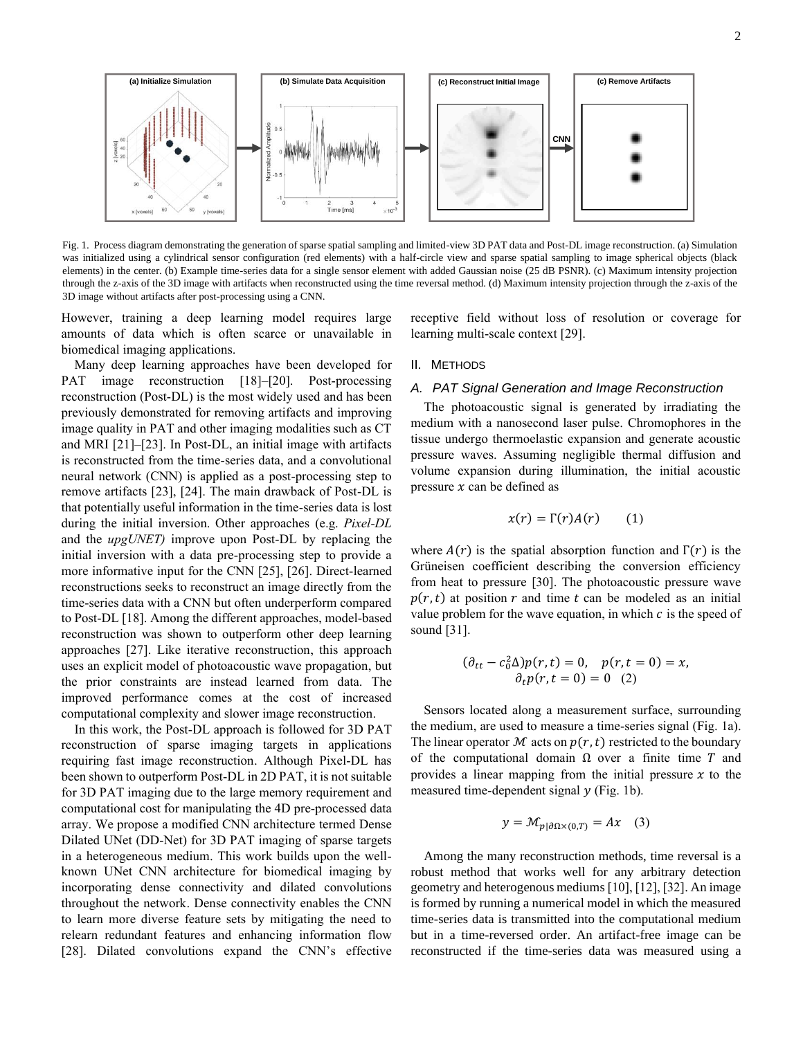

Fig. 1. Process diagram demonstrating the generation of sparse spatial sampling and limited-view 3D PAT data and Post-DL image reconstruction. (a) Simulation was initialized using a cylindrical sensor configuration (red elements) with a half-circle view and sparse spatial sampling to image spherical objects (black elements) in the center. (b) Example time-series data for a single sensor element with added Gaussian noise (25 dB PSNR). (c) Maximum intensity projection through the z-axis of the 3D image with artifacts when reconstructed using the time reversal method. (d) Maximum intensity projection through the z-axis of the 3D image without artifacts after post-processing using a CNN.

However, training a deep learning model requires large amounts of data which is often scarce or unavailable in biomedical imaging applications.

Many deep learning approaches have been developed for PAT image reconstruction [18]-[20]. Post-processing reconstruction (Post-DL) is the most widely used and has been previously demonstrated for removing artifacts and improving image quality in PAT and other imaging modalities such as CT and MRI [21]–[23]. In Post-DL, an initial image with artifacts is reconstructed from the time-series data, and a convolutional neural network (CNN) is applied as a post-processing step to remove artifacts [23], [24]. The main drawback of Post-DL is that potentially useful information in the time-series data is lost during the initial inversion. Other approaches (e.g. *Pixel-DL* and the *upgUNET)* improve upon Post-DL by replacing the initial inversion with a data pre-processing step to provide a more informative input for the CNN [25], [26]. Direct-learned reconstructions seeks to reconstruct an image directly from the time-series data with a CNN but often underperform compared to Post-DL [18]. Among the different approaches, model-based reconstruction was shown to outperform other deep learning approaches [27]. Like iterative reconstruction, this approach uses an explicit model of photoacoustic wave propagation, but the prior constraints are instead learned from data. The improved performance comes at the cost of increased computational complexity and slower image reconstruction.

In this work, the Post-DL approach is followed for 3D PAT reconstruction of sparse imaging targets in applications requiring fast image reconstruction. Although Pixel-DL has been shown to outperform Post-DL in 2D PAT, it is not suitable for 3D PAT imaging due to the large memory requirement and computational cost for manipulating the 4D pre-processed data array. We propose a modified CNN architecture termed Dense Dilated UNet (DD-Net) for 3D PAT imaging of sparse targets in a heterogeneous medium. This work builds upon the wellknown UNet CNN architecture for biomedical imaging by incorporating dense connectivity and dilated convolutions throughout the network. Dense connectivity enables the CNN to learn more diverse feature sets by mitigating the need to relearn redundant features and enhancing information flow [28]. Dilated convolutions expand the CNN's effective

receptive field without loss of resolution or coverage for learning multi-scale context [29].

## II. METHODS

## *A. PAT Signal Generation and Image Reconstruction*

The photoacoustic signal is generated by irradiating the medium with a nanosecond laser pulse. Chromophores in the tissue undergo thermoelastic expansion and generate acoustic pressure waves. Assuming negligible thermal diffusion and volume expansion during illumination, the initial acoustic pressure  $x$  can be defined as

$$
x(r) = \Gamma(r)A(r) \qquad (1)
$$

where  $A(r)$  is the spatial absorption function and  $\Gamma(r)$  is the Grüneisen coefficient describing the conversion efficiency from heat to pressure [30]. The photoacoustic pressure wave  $p(r, t)$  at position r and time t can be modeled as an initial value problem for the wave equation, in which  $c$  is the speed of sound [31].

$$
(\partial_{tt} - c_0^2 \Delta) p(r, t) = 0, \quad p(r, t = 0) = x, \n\partial_t p(r, t = 0) = 0 \quad (2)
$$

Sensors located along a measurement surface, surrounding the medium, are used to measure a time-series signal (Fig. 1a). The linear operator  $M$  acts on  $p(r, t)$  restricted to the boundary of the computational domain  $\Omega$  over a finite time T and provides a linear mapping from the initial pressure  $x$  to the measured time-dependent signal  $y$  (Fig. 1b).

$$
y = \mathcal{M}_{p|\partial \Omega \times (0,T)} = Ax \quad (3)
$$

Among the many reconstruction methods, time reversal is a robust method that works well for any arbitrary detection geometry and heterogenous mediums [10], [12], [32]. An image is formed by running a numerical model in which the measured time-series data is transmitted into the computational medium but in a time-reversed order. An artifact-free image can be reconstructed if the time-series data was measured using a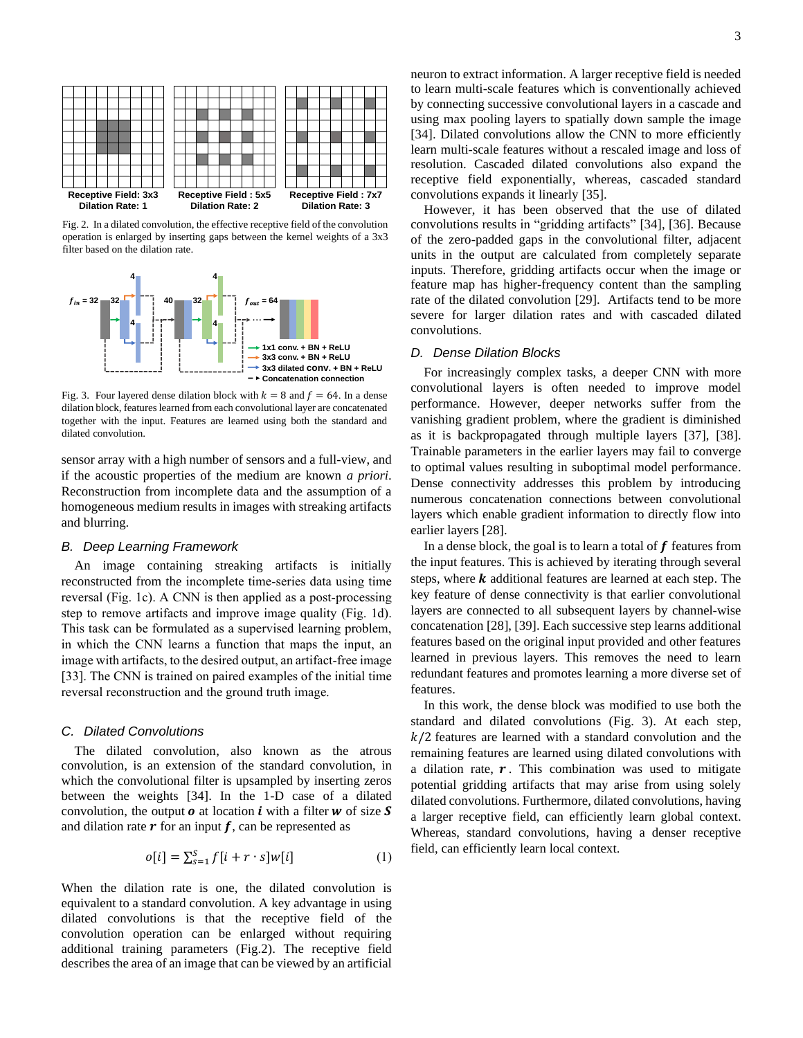

Fig. 2. In a dilated convolution, the effective receptive field of the convolution operation is enlarged by inserting gaps between the kernel weights of a 3x3 filter based on the dilation rate.



Fig. 3. Four layered dense dilation block with  $k = 8$  and  $f = 64$ . In a dense dilation block, features learned from each convolutional layer are concatenated together with the input. Features are learned using both the standard and dilated convolution.

sensor array with a high number of sensors and a full-view, and if the acoustic properties of the medium are known *a priori*. Reconstruction from incomplete data and the assumption of a homogeneous medium results in images with streaking artifacts and blurring.

#### *B. Deep Learning Framework*

An image containing streaking artifacts is initially reconstructed from the incomplete time-series data using time reversal (Fig. 1c). A CNN is then applied as a post-processing step to remove artifacts and improve image quality (Fig. 1d). This task can be formulated as a supervised learning problem, in which the CNN learns a function that maps the input, an image with artifacts, to the desired output, an artifact-free image [33]. The CNN is trained on paired examples of the initial time reversal reconstruction and the ground truth image.

#### *C. Dilated Convolutions*

The dilated convolution, also known as the atrous convolution, is an extension of the standard convolution, in which the convolutional filter is upsampled by inserting zeros between the weights [34]. In the 1-D case of a dilated convolution, the output  $\boldsymbol{o}$  at location **i** with a filter **w** of size **S** and dilation rate  $\bm{r}$  for an input  $\bm{f}$ , can be represented as

$$
o[i] = \sum_{s=1}^{S} f[i+r \cdot s]w[i] \tag{1}
$$

When the dilation rate is one, the dilated convolution is equivalent to a standard convolution. A key advantage in using dilated convolutions is that the receptive field of the convolution operation can be enlarged without requiring additional training parameters (Fig.2). The receptive field describes the area of an image that can be viewed by an artificial

neuron to extract information. A larger receptive field is needed to learn multi-scale features which is conventionally achieved by connecting successive convolutional layers in a cascade and using max pooling layers to spatially down sample the image [34]. Dilated convolutions allow the CNN to more efficiently learn multi-scale features without a rescaled image and loss of resolution. Cascaded dilated convolutions also expand the receptive field exponentially, whereas, cascaded standard convolutions expands it linearly [35].

However, it has been observed that the use of dilated convolutions results in "gridding artifacts" [34], [36]. Because of the zero-padded gaps in the convolutional filter, adjacent units in the output are calculated from completely separate inputs. Therefore, gridding artifacts occur when the image or feature map has higher-frequency content than the sampling rate of the dilated convolution [29]. Artifacts tend to be more severe for larger dilation rates and with cascaded dilated convolutions.

# *D. Dense Dilation Blocks*

For increasingly complex tasks, a deeper CNN with more convolutional layers is often needed to improve model performance. However, deeper networks suffer from the vanishing gradient problem, where the gradient is diminished as it is backpropagated through multiple layers [37], [38]. Trainable parameters in the earlier layers may fail to converge to optimal values resulting in suboptimal model performance. Dense connectivity addresses this problem by introducing numerous concatenation connections between convolutional layers which enable gradient information to directly flow into earlier layers [28].

In a dense block, the goal is to learn a total of  $f$  features from the input features. This is achieved by iterating through several steps, where  $k$  additional features are learned at each step. The key feature of dense connectivity is that earlier convolutional layers are connected to all subsequent layers by channel-wise concatenation [28], [39]. Each successive step learns additional features based on the original input provided and other features learned in previous layers. This removes the need to learn redundant features and promotes learning a more diverse set of features.

In this work, the dense block was modified to use both the standard and dilated convolutions (Fig. 3). At each step,  $k/2$  features are learned with a standard convolution and the remaining features are learned using dilated convolutions with a dilation rate,  $r$ . This combination was used to mitigate potential gridding artifacts that may arise from using solely dilated convolutions. Furthermore, dilated convolutions, having a larger receptive field, can efficiently learn global context. Whereas, standard convolutions, having a denser receptive field, can efficiently learn local context.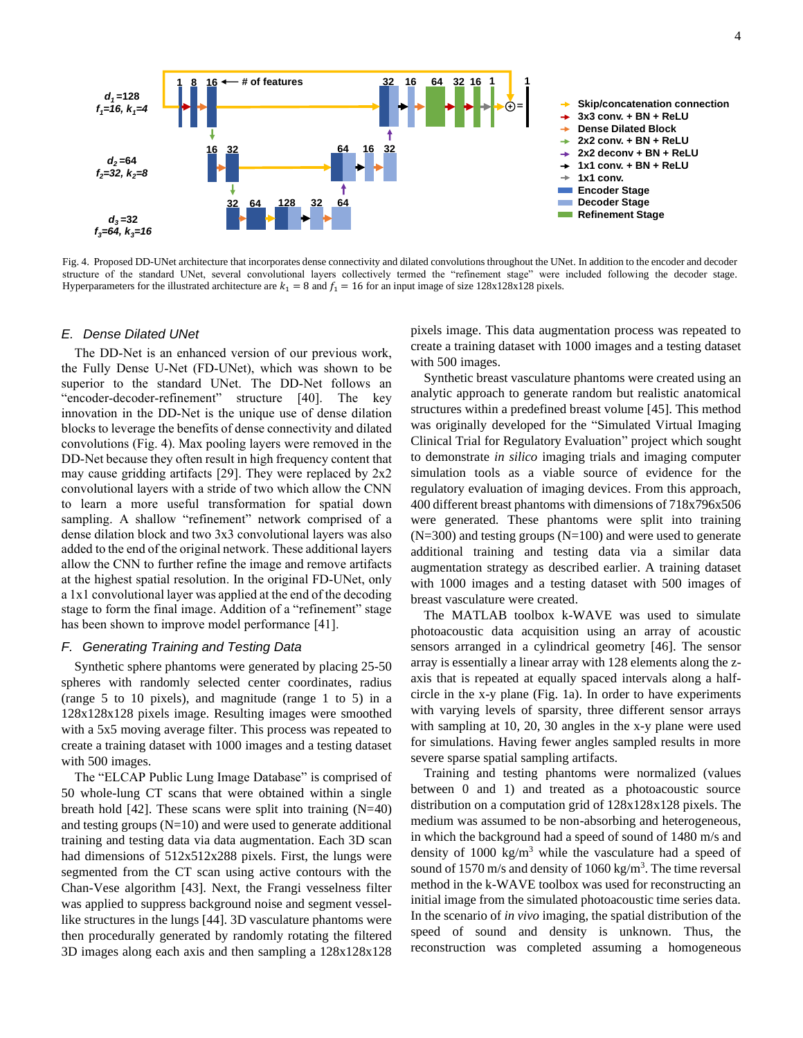

Fig. 4. Proposed DD-UNet architecture that incorporates dense connectivity and dilated convolutions throughout the UNet. In addition to the encoder and decoder structure of the standard UNet, several convolutional layers collectively termed the "refinement stage" were included following the decoder stage. Hyperparameters for the illustrated architecture are  $k_1 = 8$  and  $f_1 = 16$  for an input image of size 128x128x128 pixels.

#### *E. Dense Dilated UNet*

The DD-Net is an enhanced version of our previous work, the Fully Dense U-Net (FD-UNet), which was shown to be superior to the standard UNet. The DD-Net follows an "encoder-decoder-refinement" structure [40]. The key innovation in the DD-Net is the unique use of dense dilation blocks to leverage the benefits of dense connectivity and dilated convolutions (Fig. 4). Max pooling layers were removed in the DD-Net because they often result in high frequency content that may cause gridding artifacts [29]. They were replaced by  $2x2$ convolutional layers with a stride of two which allow the CNN to learn a more useful transformation for spatial down sampling. A shallow "refinement" network comprised of a dense dilation block and two 3x3 convolutional layers was also added to the end of the original network. These additional layers allow the CNN to further refine the image and remove artifacts at the highest spatial resolution. In the original FD-UNet, only a 1x1 convolutional layer was applied at the end of the decoding stage to form the final image. Addition of a "refinement" stage has been shown to improve model performance [41].

## *F. Generating Training and Testing Data*

Synthetic sphere phantoms were generated by placing 25-50 spheres with randomly selected center coordinates, radius (range 5 to 10 pixels), and magnitude (range 1 to 5) in a 128x128x128 pixels image. Resulting images were smoothed with a 5x5 moving average filter. This process was repeated to create a training dataset with 1000 images and a testing dataset with 500 images.

The "ELCAP Public Lung Image Database" is comprised of 50 whole-lung CT scans that were obtained within a single breath hold  $[42]$ . These scans were split into training  $(N=40)$ and testing groups  $(N=10)$  and were used to generate additional training and testing data via data augmentation. Each 3D scan had dimensions of 512x512x288 pixels. First, the lungs were segmented from the CT scan using active contours with the Chan-Vese algorithm [43]. Next, the Frangi vesselness filter was applied to suppress background noise and segment vessellike structures in the lungs [44]. 3D vasculature phantoms were then procedurally generated by randomly rotating the filtered 3D images along each axis and then sampling a 128x128x128

pixels image. This data augmentation process was repeated to create a training dataset with 1000 images and a testing dataset with 500 images.

Synthetic breast vasculature phantoms were created using an analytic approach to generate random but realistic anatomical structures within a predefined breast volume [45]. This method was originally developed for the "Simulated Virtual Imaging Clinical Trial for Regulatory Evaluation" project which sought to demonstrate *in silico* imaging trials and imaging computer simulation tools as a viable source of evidence for the regulatory evaluation of imaging devices. From this approach, 400 different breast phantoms with dimensions of 718x796x506 were generated. These phantoms were split into training  $(N=300)$  and testing groups  $(N=100)$  and were used to generate additional training and testing data via a similar data augmentation strategy as described earlier. A training dataset with 1000 images and a testing dataset with 500 images of breast vasculature were created.

The MATLAB toolbox k-WAVE was used to simulate photoacoustic data acquisition using an array of acoustic sensors arranged in a cylindrical geometry [46]. The sensor array is essentially a linear array with 128 elements along the zaxis that is repeated at equally spaced intervals along a halfcircle in the x-y plane (Fig. 1a). In order to have experiments with varying levels of sparsity, three different sensor arrays with sampling at 10, 20, 30 angles in the x-y plane were used for simulations. Having fewer angles sampled results in more severe sparse spatial sampling artifacts.

Training and testing phantoms were normalized (values between 0 and 1) and treated as a photoacoustic source distribution on a computation grid of  $128x128x128$  pixels. The medium was assumed to be non-absorbing and heterogeneous, in which the background had a speed of sound of 1480 m/s and density of 1000 kg/m<sup>3</sup> while the vasculature had a speed of sound of 1570 m/s and density of  $1060 \text{ kg/m}^3$ . The time reversal method in the k-WAVE toolbox was used for reconstructing an initial image from the simulated photoacoustic time series data. In the scenario of *in vivo* imaging, the spatial distribution of the speed of sound and density is unknown. Thus, the reconstruction was completed assuming a homogeneous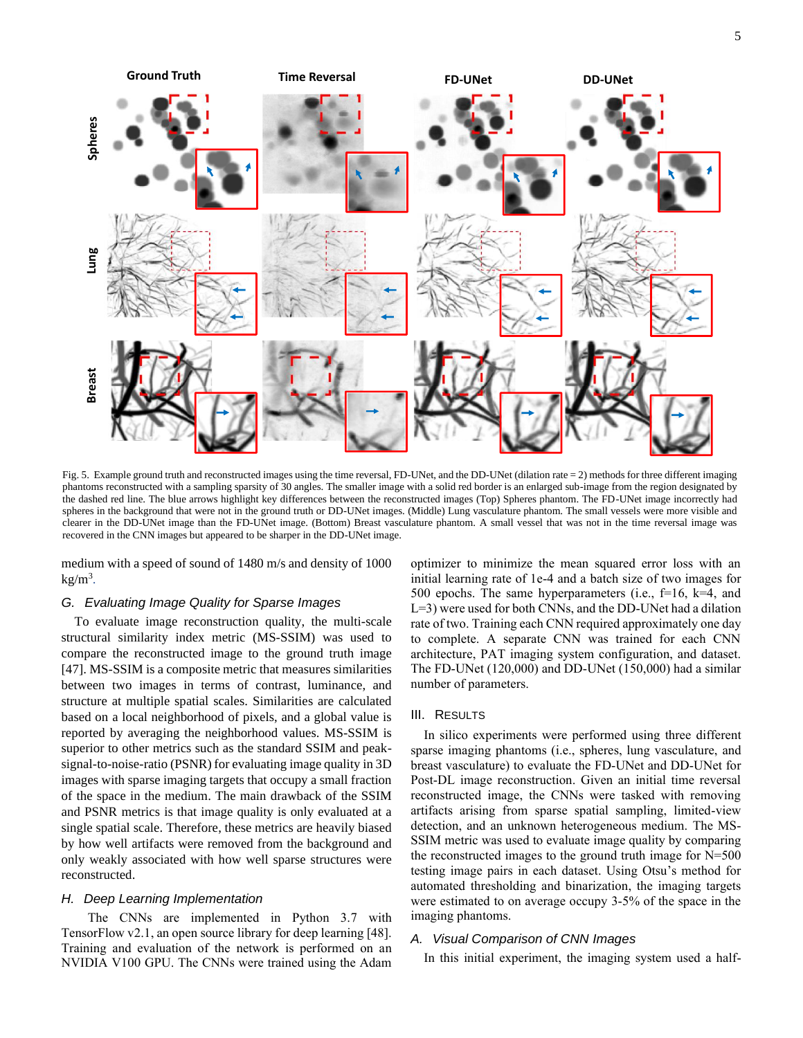

Fig. 5. Example ground truth and reconstructed images using the time reversal, FD-UNet, and the DD-UNet (dilation rate = 2) methods for three different imaging phantoms reconstructed with a sampling sparsity of 30 angles. The smaller image with a solid red border is an enlarged sub-image from the region designated by the dashed red line. The blue arrows highlight key differences between the reconstructed images (Top) Spheres phantom. The FD-UNet image incorrectly had spheres in the background that were not in the ground truth or DD-UNet images. (Middle) Lung vasculature phantom. The small vessels were more visible and clearer in the DD-UNet image than the FD-UNet image. (Bottom) Breast vasculature phantom. A small vessel that was not in the time reversal image was recovered in the CNN images but appeared to be sharper in the DD-UNet image.

medium with a speed of sound of 1480 m/s and density of 1000  $kg/m<sup>3</sup>$ .

## *G. Evaluating Image Quality for Sparse Images*

To evaluate image reconstruction quality, the multi-scale structural similarity index metric (MS-SSIM) was used to compare the reconstructed image to the ground truth image [47]. MS-SSIM is a composite metric that measures similarities between two images in terms of contrast, luminance, and structure at multiple spatial scales. Similarities are calculated based on a local neighborhood of pixels, and a global value is reported by averaging the neighborhood values. MS-SSIM is superior to other metrics such as the standard SSIM and peaksignal-to-noise-ratio (PSNR) for evaluating image quality in 3D images with sparse imaging targets that occupy a small fraction of the space in the medium. The main drawback of the SSIM and PSNR metrics is that image quality is only evaluated at a single spatial scale. Therefore, these metrics are heavily biased by how well artifacts were removed from the background and only weakly associated with how well sparse structures were reconstructed.

## *H. Deep Learning Implementation*

The CNNs are implemented in Python 3.7 with TensorFlow v2.1, an open source library for deep learning [48]. Training and evaluation of the network is performed on an NVIDIA V100 GPU. The CNNs were trained using the Adam

optimizer to minimize the mean squared error loss with an initial learning rate of 1e-4 and a batch size of two images for 500 epochs. The same hyperparameters (i.e.,  $f=16$ ,  $k=4$ , and L=3) were used for both CNNs, and the DD-UNet had a dilation rate of two. Training each CNN required approximately one day to complete. A separate CNN was trained for each CNN architecture, PAT imaging system configuration, and dataset. The FD-UNet (120,000) and DD-UNet (150,000) had a similar number of parameters.

#### III. RESULTS

In silico experiments were performed using three different sparse imaging phantoms (i.e., spheres, lung vasculature, and breast vasculature) to evaluate the FD-UNet and DD-UNet for Post-DL image reconstruction. Given an initial time reversal reconstructed image, the CNNs were tasked with removing artifacts arising from sparse spatial sampling, limited-view detection, and an unknown heterogeneous medium. The MS-SSIM metric was used to evaluate image quality by comparing the reconstructed images to the ground truth image for N=500 testing image pairs in each dataset. Using Otsu's method for automated thresholding and binarization, the imaging targets were estimated to on average occupy 3-5% of the space in the imaging phantoms.

# *A. Visual Comparison of CNN Images*

In this initial experiment, the imaging system used a half-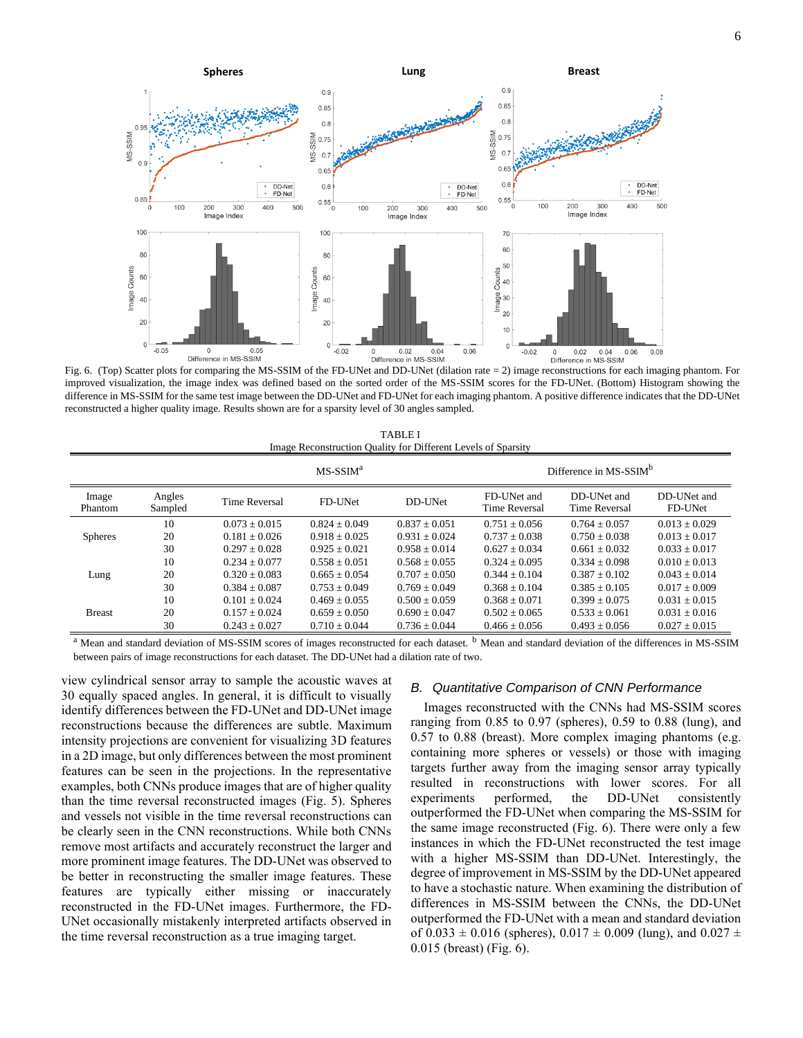

Fig. 6. (Top) Scatter plots for comparing the MS-SSIM of the FD-UNet and DD-UNet (dilation rate = 2) image reconstructions for each imaging phantom. For improved visualization, the image index was defined based on the sorted order of the MS-SSIM scores for the FD-UNet. (Bottom) Histogram showing the difference in MS-SSIM for the same test image between the DD-UNet and FD-UNet for each imaging phantom. A positive difference indicates that the DD-UNet reconstructed a higher quality image. Results shown are for a sparsity level of 30 angles sampled.

| <b>TABLE I</b>                                                |
|---------------------------------------------------------------|
| Image Reconstruction Quality for Different Levels of Sparsity |

|                  |                   | $MS-SSIMa$        |                 |                 | Difference in MS-SSIM <sup>b</sup>  |                              |                        |
|------------------|-------------------|-------------------|-----------------|-----------------|-------------------------------------|------------------------------|------------------------|
| Image<br>Phantom | Angles<br>Sampled | Time Reversal     | FD-UNet         | DD-UNet         | FD-UNet and<br><b>Time Reversal</b> | DD-UNet and<br>Time Reversal | DD-UNet and<br>FD-UNet |
|                  | 10                | $0.073 + 0.015$   | $0.824 + 0.049$ | $0.837 + 0.051$ | $0.751 + 0.056$                     | $0.764 + 0.057$              | $0.013 + 0.029$        |
| <b>Spheres</b>   | 20                | $0.181 + 0.026$   | $0.918 + 0.025$ | $0.931 + 0.024$ | $0.737 + 0.038$                     | $0.750 + 0.038$              | $0.013 + 0.017$        |
|                  | 30                | $0.297 + 0.028$   | $0.925 + 0.021$ | $0.958 + 0.014$ | $0.627 + 0.034$                     | $0.661 + 0.032$              | $0.033 + 0.017$        |
| Lung             | 10                | $0.234 + 0.077$   | $0.558 + 0.051$ | $0.568 + 0.055$ | $0.324 + 0.095$                     | $0.334 + 0.098$              | $0.010 + 0.013$        |
|                  | 20                | $0.320 + 0.083$   | $0.665 + 0.054$ | $0.707 + 0.050$ | $0.344 + 0.104$                     | $0.387 + 0.102$              | $0.043 + 0.014$        |
|                  | 30                | $0.384 + 0.087$   | $0.753 + 0.049$ | $0.769 + 0.049$ | $0.368 + 0.104$                     | $0.385 + 0.105$              | $0.017 + 0.009$        |
| <b>Breast</b>    | 10                | $0.101 + 0.024$   | $0.469 + 0.055$ | $0.500 + 0.059$ | $0.368 \pm 0.071$                   | $0.399 \pm 0.075$            | $0.031 + 0.015$        |
|                  | 20                | $0.157 + 0.024$   | $0.659 + 0.050$ | $0.690 + 0.047$ | $0.502 + 0.065$                     | $0.533 + 0.061$              | $0.031 + 0.016$        |
|                  | 30                | $0.243 \pm 0.027$ | $0.710 + 0.044$ | $0.736 + 0.044$ | $0.466 + 0.056$                     | $0.493 + 0.056$              | $0.027 + 0.015$        |

<sup>a</sup> Mean and standard deviation of MS-SSIM scores of images reconstructed for each dataset. <sup>b</sup> Mean and standard deviation of the differences in MS-SSIM between pairs of image reconstructions for each dataset. The DD-UNet had a dilation rate of two.

view cylindrical sensor array to sample the acoustic waves at 30 equally spaced angles. In general, it is difficult to visually identify differences between the FD-UNet and DD-UNet image reconstructions because the differences are subtle. Maximum intensity projections are convenient for visualizing 3D features in a 2D image, but only differences between the most prominent features can be seen in the projections. In the representative examples, both CNNs produce images that are of higher quality than the time reversal reconstructed images (Fig. 5). Spheres and vessels not visible in the time reversal reconstructions can be clearly seen in the CNN reconstructions. While both CNNs remove most artifacts and accurately reconstruct the larger and more prominent image features. The DD-UNet was observed to be better in reconstructing the smaller image features. These features are typically either missing or inaccurately reconstructed in the FD-UNet images. Furthermore, the FD-UNet occasionally mistakenly interpreted artifacts observed in the time reversal reconstruction as a true imaging target.

## *B. Quantitative Comparison of CNN Performance*

Images reconstructed with the CNNs had MS-SSIM scores ranging from 0.85 to 0.97 (spheres), 0.59 to 0.88 (lung), and 0.57 to 0.88 (breast). More complex imaging phantoms (e.g. containing more spheres or vessels) or those with imaging targets further away from the imaging sensor array typically resulted in reconstructions with lower scores. For all experiments performed, the DD-UNet consistently outperformed the FD-UNet when comparing the MS-SSIM for the same image reconstructed (Fig. 6). There were only a few instances in which the FD-UNet reconstructed the test image with a higher MS-SSIM than DD-UNet. Interestingly, the degree of improvement in MS-SSIM by the DD-UNet appeared to have a stochastic nature. When examining the distribution of differences in MS-SSIM between the CNNs, the DD-UNet outperformed the FD-UNet with a mean and standard deviation of  $0.033 \pm 0.016$  (spheres),  $0.017 \pm 0.009$  (lung), and  $0.027 \pm 0.009$ 0.015 (breast) (Fig. 6).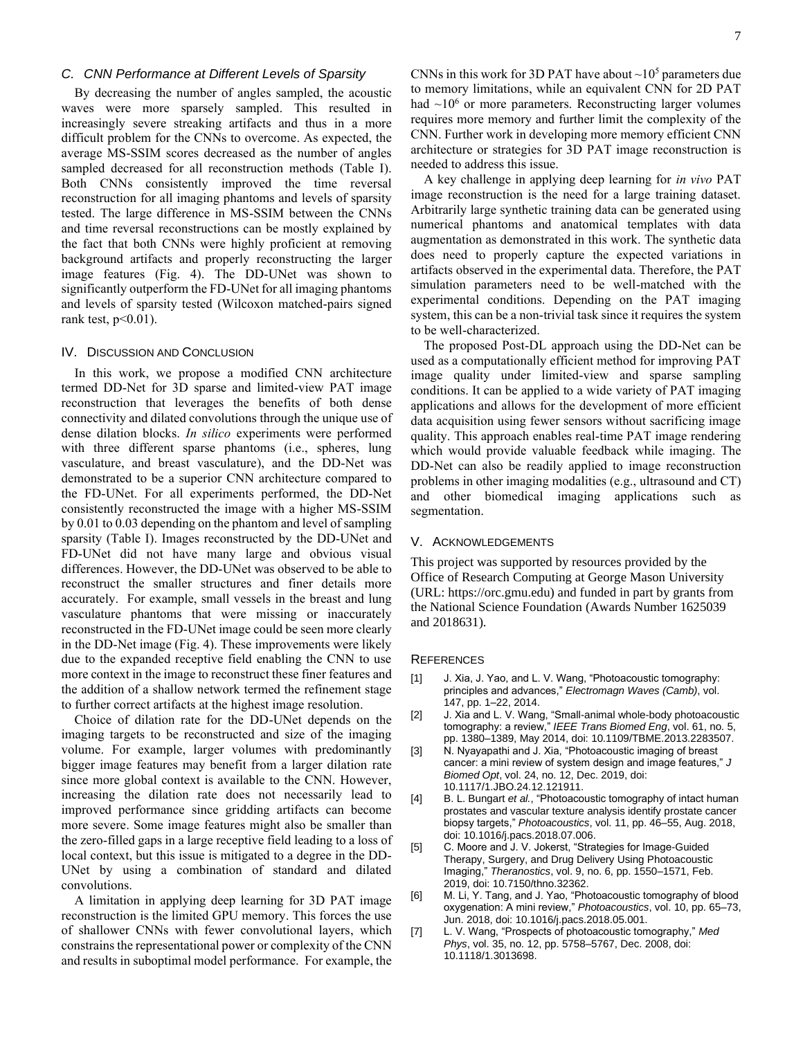## *C. CNN Performance at Different Levels of Sparsity*

By decreasing the number of angles sampled, the acoustic waves were more sparsely sampled. This resulted in increasingly severe streaking artifacts and thus in a more difficult problem for the CNNs to overcome. As expected, the average MS-SSIM scores decreased as the number of angles sampled decreased for all reconstruction methods (Table I). Both CNNs consistently improved the time reversal reconstruction for all imaging phantoms and levels of sparsity tested. The large difference in MS-SSIM between the CNNs and time reversal reconstructions can be mostly explained by the fact that both CNNs were highly proficient at removing background artifacts and properly reconstructing the larger image features (Fig. 4). The DD-UNet was shown to significantly outperform the FD-UNet for all imaging phantoms and levels of sparsity tested (Wilcoxon matched-pairs signed rank test,  $p<0.01$ ).

#### IV. DISCUSSION AND CONCLUSION

In this work, we propose a modified CNN architecture termed DD-Net for 3D sparse and limited-view PAT image reconstruction that leverages the benefits of both dense connectivity and dilated convolutions through the unique use of dense dilation blocks. *In silico* experiments were performed with three different sparse phantoms (i.e., spheres, lung vasculature, and breast vasculature), and the DD-Net was demonstrated to be a superior CNN architecture compared to the FD-UNet. For all experiments performed, the DD-Net consistently reconstructed the image with a higher MS-SSIM by 0.01 to 0.03 depending on the phantom and level of sampling sparsity (Table I). Images reconstructed by the DD-UNet and FD-UNet did not have many large and obvious visual differences. However, the DD-UNet was observed to be able to reconstruct the smaller structures and finer details more accurately. For example, small vessels in the breast and lung vasculature phantoms that were missing or inaccurately reconstructed in the FD-UNet image could be seen more clearly in the DD-Net image (Fig. 4). These improvements were likely due to the expanded receptive field enabling the CNN to use more context in the image to reconstruct these finer features and the addition of a shallow network termed the refinement stage to further correct artifacts at the highest image resolution.

Choice of dilation rate for the DD-UNet depends on the imaging targets to be reconstructed and size of the imaging volume. For example, larger volumes with predominantly bigger image features may benefit from a larger dilation rate since more global context is available to the CNN. However, increasing the dilation rate does not necessarily lead to improved performance since gridding artifacts can become more severe. Some image features might also be smaller than the zero-filled gaps in a large receptive field leading to a loss of local context, but this issue is mitigated to a degree in the DD-UNet by using a combination of standard and dilated convolutions.

A limitation in applying deep learning for 3D PAT image reconstruction is the limited GPU memory. This forces the use of shallower CNNs with fewer convolutional layers, which constrains the representational power or complexity of the CNN and results in suboptimal model performance. For example, the

CNNs in this work for 3D PAT have about  $\sim 10^5$  parameters due to memory limitations, while an equivalent CNN for 2D PAT had  $\sim 10^6$  or more parameters. Reconstructing larger volumes requires more memory and further limit the complexity of the CNN. Further work in developing more memory efficient CNN architecture or strategies for 3D PAT image reconstruction is needed to address this issue.

A key challenge in applying deep learning for *in vivo* PAT image reconstruction is the need for a large training dataset. Arbitrarily large synthetic training data can be generated using numerical phantoms and anatomical templates with data augmentation as demonstrated in this work. The synthetic data does need to properly capture the expected variations in artifacts observed in the experimental data. Therefore, the PAT simulation parameters need to be well-matched with the experimental conditions. Depending on the PAT imaging system, this can be a non-trivial task since it requires the system to be well-characterized.

The proposed Post-DL approach using the DD-Net can be used as a computationally efficient method for improving PAT image quality under limited-view and sparse sampling conditions. It can be applied to a wide variety of PAT imaging applications and allows for the development of more efficient data acquisition using fewer sensors without sacrificing image quality. This approach enables real-time PAT image rendering which would provide valuable feedback while imaging. The DD-Net can also be readily applied to image reconstruction problems in other imaging modalities (e.g., ultrasound and CT) and other biomedical imaging applications such as segmentation.

## V. ACKNOWLEDGEMENTS

This project was supported by resources provided by the Office of Research Computing at George Mason University (URL: https://orc.gmu.edu) and funded in part by grants from the National Science Foundation (Awards Number 1625039 and 2018631).

#### **REFERENCES**

- [1] J. Xia, J. Yao, and L. V. Wang, "Photoacoustic tomography: principles and advances," *Electromagn Waves (Camb)*, vol. 147, pp. 1–22, 2014.
- [2] J. Xia and L. V. Wang, "Small-animal whole-body photoacoustic tomography: a review," *IEEE Trans Biomed Eng*, vol. 61, no. 5, pp. 1380–1389, May 2014, doi: 10.1109/TBME.2013.2283507.
- [3] N. Nyayapathi and J. Xia, "Photoacoustic imaging of breast cancer: a mini review of system design and image features," *J Biomed Opt*, vol. 24, no. 12, Dec. 2019, doi: 10.1117/1.JBO.24.12.121911.
- [4] B. L. Bungart *et al.*, "Photoacoustic tomography of intact human prostates and vascular texture analysis identify prostate cancer biopsy targets," *Photoacoustics*, vol. 11, pp. 46–55, Aug. 2018, doi: 10.1016/j.pacs.2018.07.006.
- [5] C. Moore and J. V. Jokerst, "Strategies for Image-Guided Therapy, Surgery, and Drug Delivery Using Photoacoustic Imaging," *Theranostics*, vol. 9, no. 6, pp. 1550–1571, Feb. 2019, doi: 10.7150/thno.32362.
- [6] M. Li, Y. Tang, and J. Yao, "Photoacoustic tomography of blood oxygenation: A mini review," *Photoacoustics*, vol. 10, pp. 65–73, Jun. 2018, doi: 10.1016/j.pacs.2018.05.001.
- [7] L. V. Wang, "Prospects of photoacoustic tomography," *Med Phys*, vol. 35, no. 12, pp. 5758–5767, Dec. 2008, doi: 10.1118/1.3013698.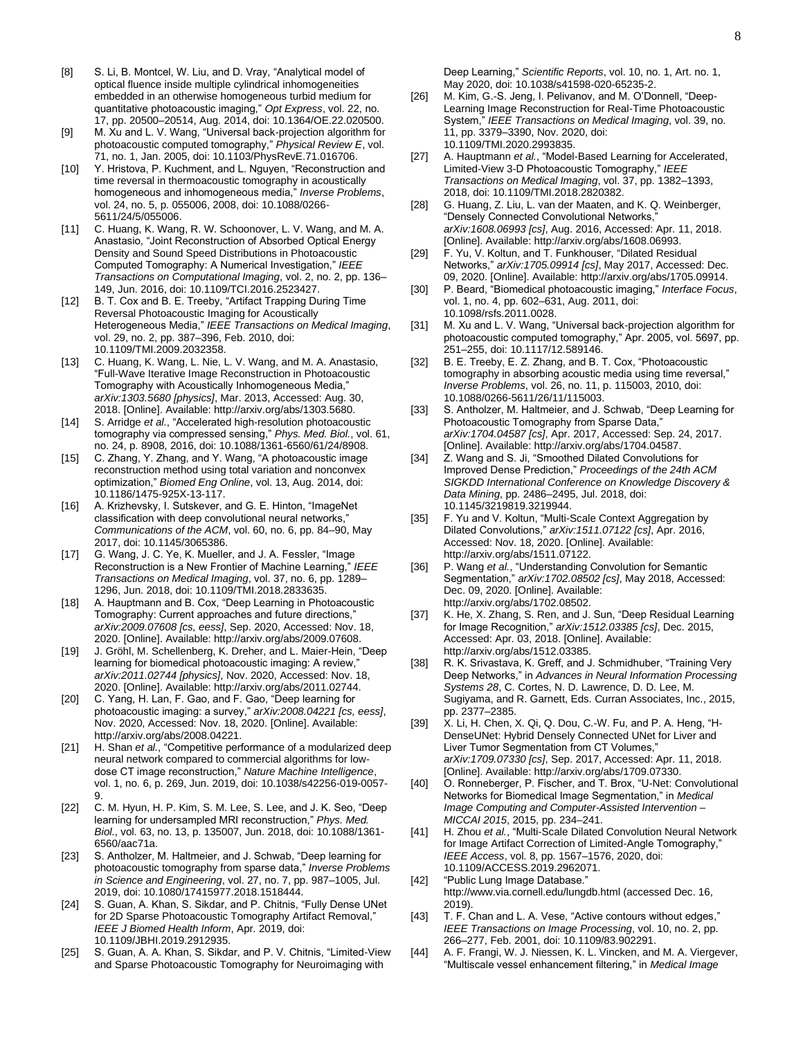- [8] S. Li, B. Montcel, W. Liu, and D. Vray, "Analytical model of optical fluence inside multiple cylindrical inhomogeneities embedded in an otherwise homogeneous turbid medium for quantitative photoacoustic imaging," *Opt Express*, vol. 22, no. 17, pp. 20500–20514, Aug. 2014, doi: 10.1364/OE.22.020500.
- [9] M. Xu and L. V. Wang, "Universal back-projection algorithm for photoacoustic computed tomography," *Physical Review E*, vol. 71, no. 1, Jan. 2005, doi: 10.1103/PhysRevE.71.016706.
- [10] Y. Hristova, P. Kuchment, and L. Nguyen, "Reconstruction and time reversal in thermoacoustic tomography in acoustically homogeneous and inhomogeneous media," *Inverse Problems*, vol. 24, no. 5, p. 055006, 2008, doi: 10.1088/0266- 5611/24/5/055006.
- [11] C. Huang, K. Wang, R. W. Schoonover, L. V. Wang, and M. A. Anastasio, "Joint Reconstruction of Absorbed Optical Energy Density and Sound Speed Distributions in Photoacoustic Computed Tomography: A Numerical Investigation," *IEEE Transactions on Computational Imaging*, vol. 2, no. 2, pp. 136– 149, Jun. 2016, doi: 10.1109/TCI.2016.2523427.
- [12] B. T. Cox and B. E. Treeby, "Artifact Trapping During Time Reversal Photoacoustic Imaging for Acoustically Heterogeneous Media," *IEEE Transactions on Medical Imaging*, vol. 29, no. 2, pp. 387–396, Feb. 2010, doi: 10.1109/TMI.2009.2032358.
- [13] C. Huang, K. Wang, L. Nie, L. V. Wang, and M. A. Anastasio, "Full-Wave Iterative Image Reconstruction in Photoacoustic Tomography with Acoustically Inhomogeneous Media," *arXiv:1303.5680 [physics]*, Mar. 2013, Accessed: Aug. 30, 2018. [Online]. Available: http://arxiv.org/abs/1303.5680.
- [14] S. Arridge *et al.*, "Accelerated high-resolution photoacoustic tomography via compressed sensing," *Phys. Med. Biol.*, vol. 61, no. 24, p. 8908, 2016, doi: 10.1088/1361-6560/61/24/8908.
- [15] C. Zhang, Y. Zhang, and Y. Wang, "A photoacoustic image reconstruction method using total variation and nonconvex optimization," *Biomed Eng Online*, vol. 13, Aug. 2014, doi: 10.1186/1475-925X-13-117.
- [16] A. Krizhevsky, I. Sutskever, and G. E. Hinton, "ImageNet classification with deep convolutional neural networks, *Communications of the ACM*, vol. 60, no. 6, pp. 84–90, May 2017, doi: 10.1145/3065386.
- [17] G. Wang, J. C. Ye, K. Mueller, and J. A. Fessler, "Image Reconstruction is a New Frontier of Machine Learning," *IEEE Transactions on Medical Imaging*, vol. 37, no. 6, pp. 1289– 1296, Jun. 2018, doi: 10.1109/TMI.2018.2833635.
- [18] A. Hauptmann and B. Cox, "Deep Learning in Photoacoustic Tomography: Current approaches and future directions," *arXiv:2009.07608 [cs, eess]*, Sep. 2020, Accessed: Nov. 18, 2020. [Online]. Available: http://arxiv.org/abs/2009.07608.
- [19] J. Gröhl, M. Schellenberg, K. Dreher, and L. Maier-Hein, "Deep learning for biomedical photoacoustic imaging: A review, *arXiv:2011.02744 [physics]*, Nov. 2020, Accessed: Nov. 18, 2020. [Online]. Available: http://arxiv.org/abs/2011.02744.
- [20] C. Yang, H. Lan, F. Gao, and F. Gao, "Deep learning for photoacoustic imaging: a survey," *arXiv:2008.04221 [cs, eess]*, Nov. 2020, Accessed: Nov. 18, 2020. [Online]. Available: http://arxiv.org/abs/2008.04221.
- [21] H. Shan *et al.*, "Competitive performance of a modularized deep neural network compared to commercial algorithms for lowdose CT image reconstruction," *Nature Machine Intelligence*, vol. 1, no. 6, p. 269, Jun. 2019, doi: 10.1038/s42256-019-0057- 9.
- [22] C. M. Hyun, H. P. Kim, S. M. Lee, S. Lee, and J. K. Seo, "Deep learning for undersampled MRI reconstruction," *Phys. Med. Biol.*, vol. 63, no. 13, p. 135007, Jun. 2018, doi: 10.1088/1361- 6560/aac71a.
- [23] S. Antholzer, M. Haltmeier, and J. Schwab, "Deep learning for photoacoustic tomography from sparse data," *Inverse Problems in Science and Engineering*, vol. 27, no. 7, pp. 987–1005, Jul. 2019, doi: 10.1080/17415977.2018.1518444.
- [24] S. Guan, A. Khan, S. Sikdar, and P. Chitnis, "Fully Dense UNet for 2D Sparse Photoacoustic Tomography Artifact Removal," *IEEE J Biomed Health Inform*, Apr. 2019, doi: 10.1109/JBHI.2019.2912935.
- [25] S. Guan, A. A. Khan, S. Sikdar, and P. V. Chitnis, "Limited-View and Sparse Photoacoustic Tomography for Neuroimaging with

Deep Learning," *Scientific Reports*, vol. 10, no. 1, Art. no. 1, May 2020, doi: 10.1038/s41598-020-65235-2.

- [26] M. Kim, G.-S. Jeng, I. Pelivanov, and M. O'Donnell, "Deep-Learning Image Reconstruction for Real-Time Photoacoustic System," *IEEE Transactions on Medical Imaging*, vol. 39, no. 11, pp. 3379–3390, Nov. 2020, doi: 10.1109/TMI.2020.2993835.
- [27] A. Hauptmann *et al.*, "Model-Based Learning for Accelerated, Limited-View 3-D Photoacoustic Tomography," *IEEE Transactions on Medical Imaging*, vol. 37, pp. 1382–1393, 2018, doi: 10.1109/TMI.2018.2820382.
- [28] G. Huang, Z. Liu, L. van der Maaten, and K. Q. Weinberger, "Densely Connected Convolutional Networks," *arXiv:1608.06993 [cs]*, Aug. 2016, Accessed: Apr. 11, 2018. [Online]. Available: http://arxiv.org/abs/1608.06993.
- [29] F. Yu, V. Koltun, and T. Funkhouser, "Dilated Residual Networks," *arXiv:1705.09914 [cs]*, May 2017, Accessed: Dec. 09, 2020. [Online]. Available: http://arxiv.org/abs/1705.09914.
- [30] P. Beard, "Biomedical photoacoustic imaging," *Interface Focus*, vol. 1, no. 4, pp. 602–631, Aug. 2011, doi: 10.1098/rsfs.2011.0028.
- [31] M. Xu and L. V. Wang, "Universal back-projection algorithm for photoacoustic computed tomography," Apr. 2005, vol. 5697, pp. 251–255, doi: 10.1117/12.589146.
- [32] B. E. Treeby, E. Z. Zhang, and B. T. Cox, "Photoacoustic tomography in absorbing acoustic media using time reversal," *Inverse Problems*, vol. 26, no. 11, p. 115003, 2010, doi: 10.1088/0266-5611/26/11/115003.
- [33] S. Antholzer, M. Haltmeier, and J. Schwab, "Deep Learning for Photoacoustic Tomography from Sparse Data, *arXiv:1704.04587 [cs]*, Apr. 2017, Accessed: Sep. 24, 2017. [Online]. Available: http://arxiv.org/abs/1704.04587.
- [34] Z. Wang and S. Ji, "Smoothed Dilated Convolutions for Improved Dense Prediction," *Proceedings of the 24th ACM SIGKDD International Conference on Knowledge Discovery & Data Mining*, pp. 2486–2495, Jul. 2018, doi: 10.1145/3219819.3219944.
- [35] F. Yu and V. Koltun, "Multi-Scale Context Aggregation by Dilated Convolutions," *arXiv:1511.07122 [cs]*, Apr. 2016, Accessed: Nov. 18, 2020. [Online]. Available: http://arxiv.org/abs/1511.07122.
- [36] P. Wang *et al.*, "Understanding Convolution for Semantic Segmentation," *arXiv:1702.08502 [cs]*, May 2018, Accessed: Dec. 09, 2020. [Online]. Available: http://arxiv.org/abs/1702.08502.
- [37] K. He, X. Zhang, S. Ren, and J. Sun, "Deep Residual Learning for Image Recognition," *arXiv:1512.03385 [cs]*, Dec. 2015, Accessed: Apr. 03, 2018. [Online]. Available: http://arxiv.org/abs/1512.03385.
- [38] R. K. Srivastava, K. Greff, and J. Schmidhuber, "Training Very Deep Networks," in *Advances in Neural Information Processing Systems 28*, C. Cortes, N. D. Lawrence, D. D. Lee, M. Sugiyama, and R. Garnett, Eds. Curran Associates, Inc., 2015, pp. 2377–2385.
- [39] X. Li, H. Chen, X. Qi, Q. Dou, C.-W. Fu, and P. A. Heng, "H-DenseUNet: Hybrid Densely Connected UNet for Liver and Liver Tumor Segmentation from CT Volumes, *arXiv:1709.07330 [cs]*, Sep. 2017, Accessed: Apr. 11, 2018. [Online]. Available: http://arxiv.org/abs/1709.07330.
- [40] O. Ronneberger, P. Fischer, and T. Brox, "U-Net: Convolutional Networks for Biomedical Image Segmentation," in *Medical Image Computing and Computer-Assisted Intervention – MICCAI 2015*, 2015, pp. 234–241.
- [41] H. Zhou *et al.*, "Multi-Scale Dilated Convolution Neural Network for Image Artifact Correction of Limited-Angle Tomography," *IEEE Access*, vol. 8, pp. 1567–1576, 2020, doi: 10.1109/ACCESS.2019.2962071.
- [42] "Public Lung Image Database." http://www.via.cornell.edu/lungdb.html (accessed Dec. 16, 2019).
- [43] T. F. Chan and L. A. Vese, "Active contours without edges," *IEEE Transactions on Image Processing*, vol. 10, no. 2, pp. 266–277, Feb. 2001, doi: 10.1109/83.902291.
- [44] A. F. Frangi, W. J. Niessen, K. L. Vincken, and M. A. Viergever, "Multiscale vessel enhancement filtering," in *Medical Image*